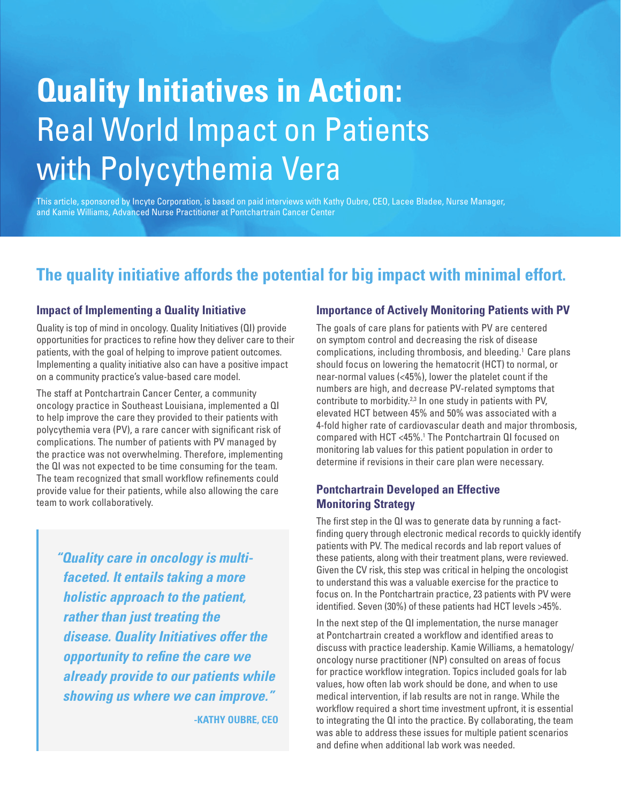# **Quality Initiatives in Action:** Real World Impact on Patients with Polycythemia Vera

This article, sponsored by Incyte Corporation, is based on paid interviews with Kathy Oubre, CEO, Lacee Bladee, Nurse Manager, and Kamie Williams, Advanced Nurse Practitioner at Pontchartrain Cancer Center

# **The quality initiative affords the potential for big impact with minimal effort.**

#### **Impact of Implementing a Quality Initiative**

Quality is top of mind in oncology. Quality Initiatives (QI) provide opportunities for practices to refine how they deliver care to their patients, with the goal of helping to improve patient outcomes. Implementing a quality initiative also can have a positive impact on a community practice's value-based care model.

The staff at Pontchartrain Cancer Center, a community oncology practice in Southeast Louisiana, implemented a QI to help improve the care they provided to their patients with polycythemia vera (PV), a rare cancer with significant risk of complications. The number of patients with PV managed by the practice was not overwhelming. Therefore, implementing the QI was not expected to be time consuming for the team. The team recognized that small workflow refinements could provide value for their patients, while also allowing the care team to work collaboratively.

*"Quality care in oncology is multifaceted. It entails taking a more holistic approach to the patient, rather than just treating the disease. Quality Initiatives offer the opportunity to refine the care we already provide to our patients while showing us where we can improve."* 

**-KATHY OUBRE, CEO**

#### **Importance of Actively Monitoring Patients with PV**

The goals of care plans for patients with PV are centered on symptom control and decreasing the risk of disease complications, including thrombosis, and bleeding.<sup>1</sup> Care plans should focus on lowering the hematocrit (HCT) to normal, or near-normal values (<45%), lower the platelet count if the numbers are high, and decrease PV-related symptoms that contribute to morbidity.<sup>2,3</sup> In one study in patients with PV, elevated HCT between 45% and 50% was associated with a 4-fold higher rate of cardiovascular death and major thrombosis, compared with HCT <45%.<sup>1</sup> The Pontchartrain QI focused on monitoring lab values for this patient population in order to determine if revisions in their care plan were necessary.

#### **Pontchartrain Developed an Effective Monitoring Strategy**

The first step in the QI was to generate data by running a factfinding query through electronic medical records to quickly identify patients with PV. The medical records and lab report values of these patients, along with their treatment plans, were reviewed. Given the CV risk, this step was critical in helping the oncologist to understand this was a valuable exercise for the practice to focus on. In the Pontchartrain practice, 23 patients with PV were identified. Seven (30%) of these patients had HCT levels >45%.

In the next step of the QI implementation, the nurse manager at Pontchartrain created a workflow and identified areas to discuss with practice leadership. Kamie Williams, a hematology/ oncology nurse practitioner (NP) consulted on areas of focus for practice workflow integration. Topics included goals for lab values, how often lab work should be done, and when to use medical intervention, if lab results are not in range. While the workflow required a short time investment upfront, it is essential to integrating the QI into the practice. By collaborating, the team was able to address these issues for multiple patient scenarios and define when additional lab work was needed.